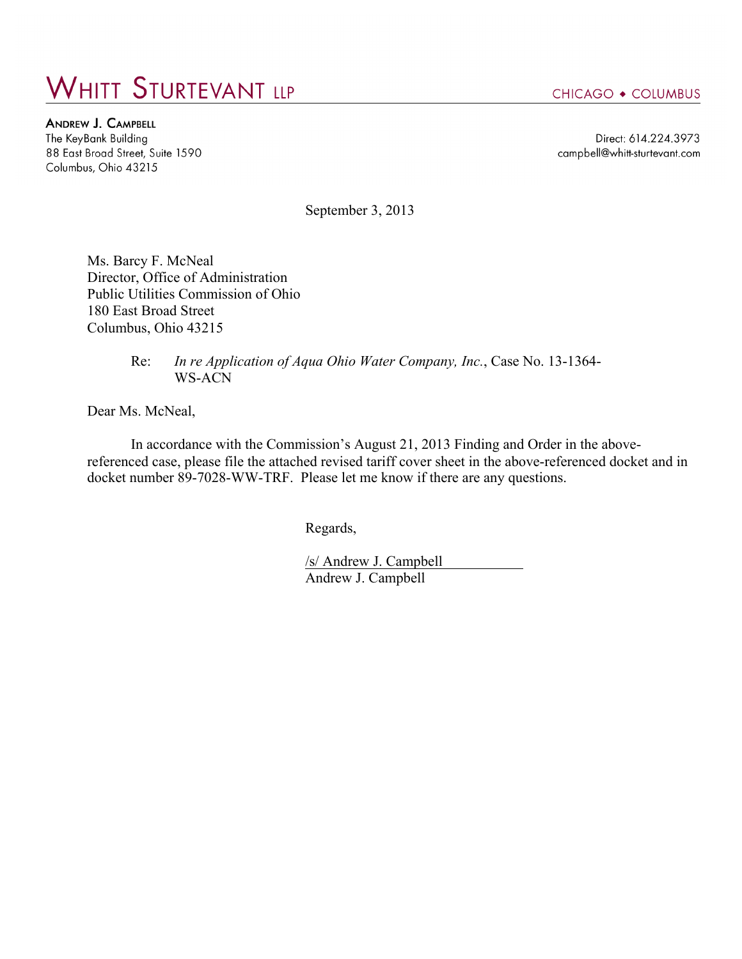## **WHITT STURTEVANT LLP**

**ANDREW J. CAMPBELL** The KeyBank Building 88 East Broad Street, Suite 1590 Columbus, Ohio 43215

CHICAGO • COLUMBUS

Direct: 614.224.3973 campbell@whitt-sturtevant.com

September 3, 2013

Ms. Barcy F. McNeal Director, Office of Administration Public Utilities Commission of Ohio 180 East Broad Street Columbus, Ohio 43215

> Re: *In re Application of Aqua Ohio Water Company, Inc.*, Case No. 13-1364- WS-ACN

Dear Ms. McNeal,

In accordance with the Commission's August 21, 2013 Finding and Order in the abovereferenced case, please file the attached revised tariff cover sheet in the above-referenced docket and in docket number 89-7028-WW-TRF. Please let me know if there are any questions.

Regards,

/s/ Andrew J. Campbell Andrew J. Campbell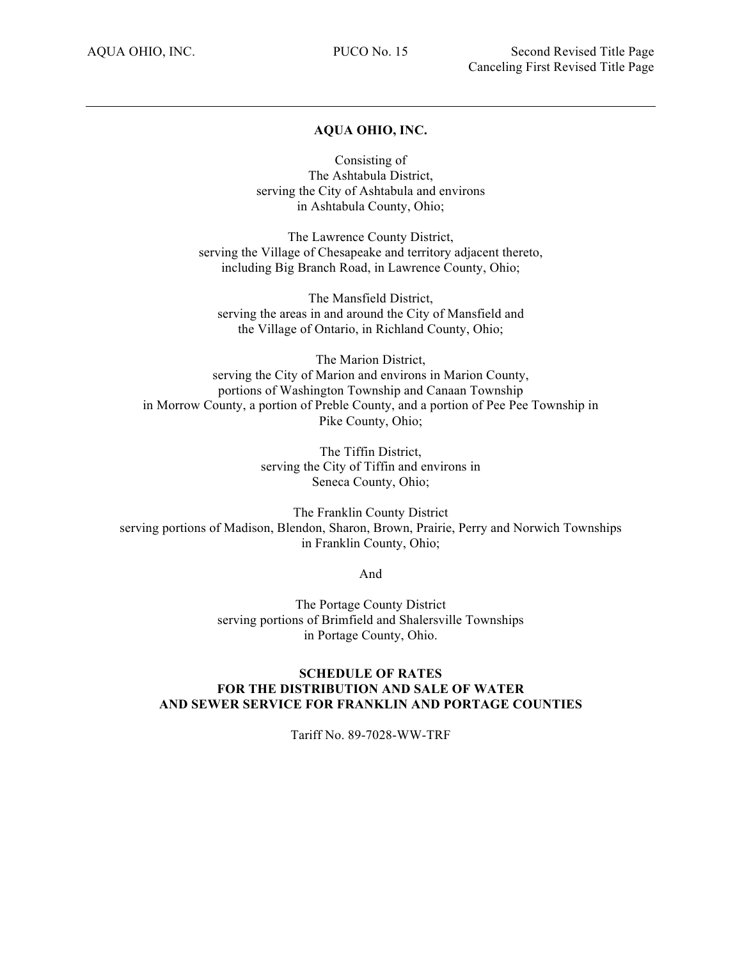## **AQUA OHIO, INC.**

Consisting of The Ashtabula District, serving the City of Ashtabula and environs in Ashtabula County, Ohio;

The Lawrence County District, serving the Village of Chesapeake and territory adjacent thereto, including Big Branch Road, in Lawrence County, Ohio;

The Mansfield District, serving the areas in and around the City of Mansfield and the Village of Ontario, in Richland County, Ohio;

The Marion District, serving the City of Marion and environs in Marion County, portions of Washington Township and Canaan Township in Morrow County, a portion of Preble County, and a portion of Pee Pee Township in Pike County, Ohio;

> The Tiffin District, serving the City of Tiffin and environs in Seneca County, Ohio;

The Franklin County District serving portions of Madison, Blendon, Sharon, Brown, Prairie, Perry and Norwich Townships in Franklin County, Ohio;

And

The Portage County District serving portions of Brimfield and Shalersville Townships in Portage County, Ohio.

## **SCHEDULE OF RATES FOR THE DISTRIBUTION AND SALE OF WATER AND SEWER SERVICE FOR FRANKLIN AND PORTAGE COUNTIES**

Tariff No. 89-7028-WW-TRF